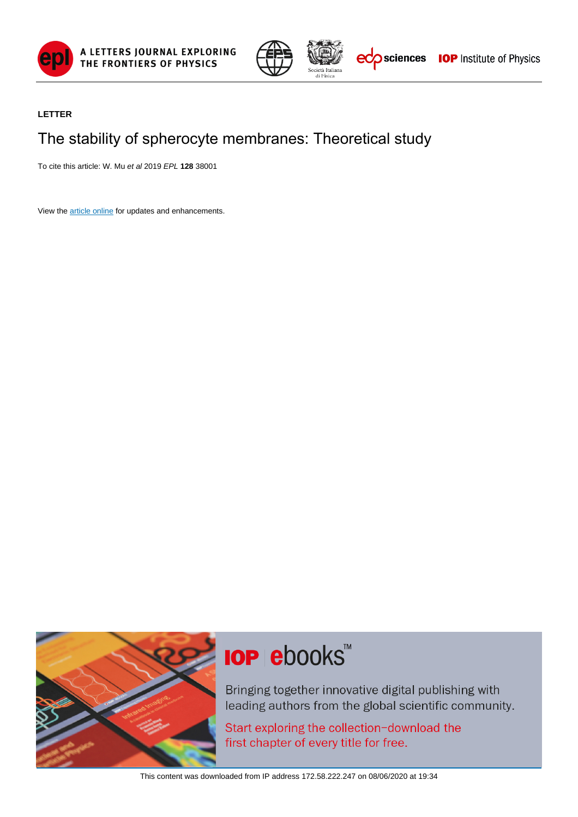



### **LETTER**

### The stability of spherocyte membranes: Theoretical study

To cite this article: W. Mu et al 2019 EPL **128** 38001

View the [article online](https://doi.org/10.1209/0295-5075/128/38001) for updates and enhancements.



# **IOP ebooks**™

Bringing together innovative digital publishing with leading authors from the global scientific community.

Start exploring the collection-download the first chapter of every title for free.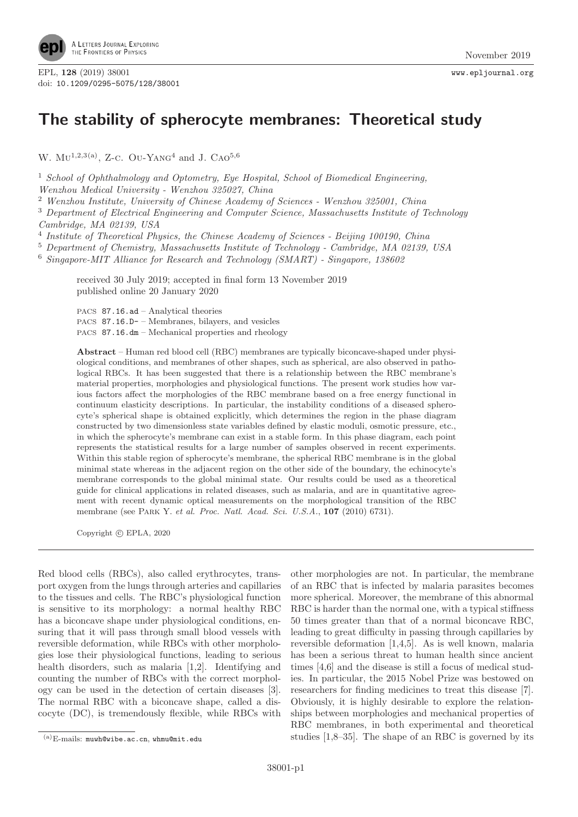

## **The stability of spherocyte membranes: Theoretical study**

W.  $MU^{1,2,3(a)}$ , Z-C. Ou-Yang<sup>4</sup> and J. Cao<sup>5,6</sup>

<sup>1</sup> School of Ophthalmology and Optometry, Eye Hospital, School of Biomedical Engineering,

Wenzhou Medical University - Wenzhou 325027, China

<sup>2</sup> Wenzhou Institute, University of Chinese Academy of Sciences - Wenzhou 325001, China

<sup>3</sup> Department of Electrical Engineering and Computer Science, Massachusetts Institute of Technology Cambridge, MA 02139, USA

<sup>4</sup> Institute of Theoretical Physics, the Chinese Academy of Sciences - Beijing 100190, China

<sup>5</sup> Department of Chemistry, Massachusetts Institute of Technology - Cambridge, MA 02139, USA

<sup>6</sup> Singapore-MIT Alliance for Research and Technology (SMART) - Singapore, 138602

received 30 July 2019; accepted in final form 13 November 2019 published online 20 January 2020

PACS 87.16.ad – Analytical theories

PACS 87.16.D- – Membranes, bilayers, and vesicles

PACS 87.16.dm – Mechanical properties and rheology

**Abstract** – Human red blood cell (RBC) membranes are typically biconcave-shaped under physiological conditions, and membranes of other shapes, such as spherical, are also observed in pathological RBCs. It has been suggested that there is a relationship between the RBC membrane's material properties, morphologies and physiological functions. The present work studies how various factors affect the morphologies of the RBC membrane based on a free energy functional in continuum elasticity descriptions. In particular, the instability conditions of a diseased spherocyte's spherical shape is obtained explicitly, which determines the region in the phase diagram constructed by two dimensionless state variables defined by elastic moduli, osmotic pressure, etc., in which the spherocyte's membrane can exist in a stable form. In this phase diagram, each point represents the statistical results for a large number of samples observed in recent experiments. Within this stable region of spherocyte's membrane, the spherical RBC membrane is in the global minimal state whereas in the adjacent region on the other side of the boundary, the echinocyte's membrane corresponds to the global minimal state. Our results could be used as a theoretical guide for clinical applications in related diseases, such as malaria, and are in quantitative agreement with recent dynamic optical measurements on the morphological transition of the RBC membrane (see Park Y. et al. Proc. Natl. Acad. Sci. U.S.A., **107** (2010) 6731).

Copyright  $\odot$  EPLA, 2020

Red blood cells (RBCs), also called erythrocytes, transport oxygen from the lungs through arteries and capillaries to the tissues and cells. The RBC's physiological function is sensitive to its morphology: a normal healthy RBC has a biconcave shape under physiological conditions, ensuring that it will pass through small blood vessels with reversible deformation, while RBCs with other morphologies lose their physiological functions, leading to serious health disorders, such as malaria [1,2]. Identifying and counting the number of RBCs with the correct morphology can be used in the detection of certain diseases [3]. The normal RBC with a biconcave shape, called a discocyte (DC), is tremendously flexible, while RBCs with

other morphologies are not. In particular, the membrane of an RBC that is infected by malaria parasites becomes more spherical. Moreover, the membrane of this abnormal RBC is harder than the normal one, with a typical stiffness 50 times greater than that of a normal biconcave RBC, leading to great difficulty in passing through capillaries by reversible deformation [1,4,5]. As is well known, malaria has been a serious threat to human health since ancient times [4,6] and the disease is still a focus of medical studies. In particular, the 2015 Nobel Prize was bestowed on researchers for finding medicines to treat this disease [7]. Obviously, it is highly desirable to explore the relationships between morphologies and mechanical properties of RBC membranes, in both experimental and theoretical studies [1,8–35]. The shape of an RBC is governed by its

 ${}^{({\rm a})}{\rm E\text{-}mails:}$ muwh@wibe.ac.cn, whmu@mit.edu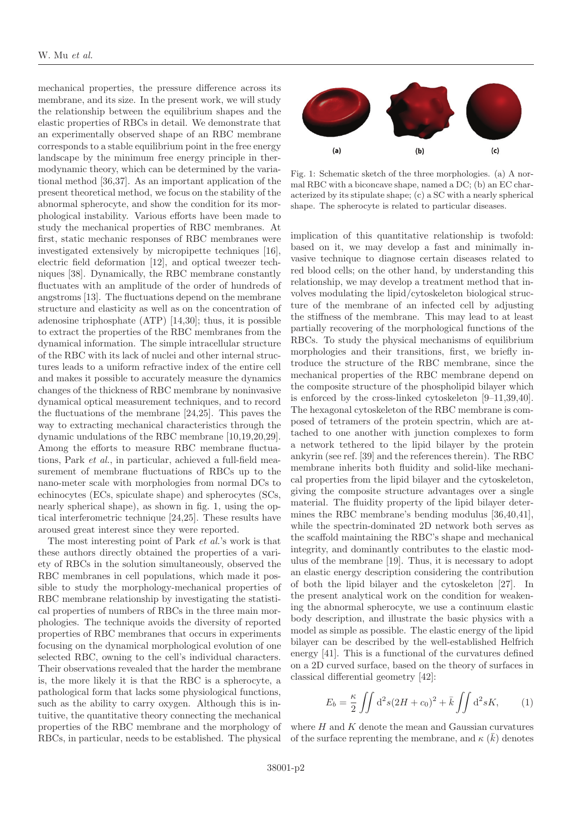mechanical properties, the pressure difference across its membrane, and its size. In the present work, we will study the relationship between the equilibrium shapes and the elastic properties of RBCs in detail. We demonstrate that an experimentally observed shape of an RBC membrane corresponds to a stable equilibrium point in the free energy landscape by the minimum free energy principle in thermodynamic theory, which can be determined by the variational method [36,37]. As an important application of the present theoretical method, we focus on the stability of the abnormal spherocyte, and show the condition for its morphological instability. Various efforts have been made to study the mechanical properties of RBC membranes. At first, static mechanic responses of RBC membranes were investigated extensively by micropipette techniques [16], electric field deformation [12], and optical tweezer techniques [38]. Dynamically, the RBC membrane constantly fluctuates with an amplitude of the order of hundreds of angstroms [13]. The fluctuations depend on the membrane structure and elasticity as well as on the concentration of adenosine triphosphate (ATP) [14,30]; thus, it is possible to extract the properties of the RBC membranes from the dynamical information. The simple intracellular structure of the RBC with its lack of nuclei and other internal structures leads to a uniform refractive index of the entire cell and makes it possible to accurately measure the dynamics changes of the thickness of RBC membrane by noninvasive dynamical optical measurement techniques, and to record the fluctuations of the membrane [24,25]. This paves the way to extracting mechanical characteristics through the dynamic undulations of the RBC membrane [10,19,20,29]. Among the efforts to measure RBC membrane fluctuations, Park et al., in particular, achieved a full-field measurement of membrane fluctuations of RBCs up to the nano-meter scale with morphologies from normal DCs to echinocytes (ECs, spiculate shape) and spherocytes (SCs, nearly spherical shape), as shown in fig. [1,](#page-2-0) using the optical interferometric technique [24,25]. These results have aroused great interest since they were reported.

The most interesting point of Park *et al.*'s work is that these authors directly obtained the properties of a variety of RBCs in the solution simultaneously, observed the RBC membranes in cell populations, which made it possible to study the morphology-mechanical properties of RBC membrane relationship by investigating the statistical properties of numbers of RBCs in the three main morphologies. The technique avoids the diversity of reported properties of RBC membranes that occurs in experiments focusing on the dynamical morphological evolution of one selected RBC, owning to the cell's individual characters. Their observations revealed that the harder the membrane is, the more likely it is that the RBC is a spherocyte, a pathological form that lacks some physiological functions, such as the ability to carry oxygen. Although this is intuitive, the quantitative theory connecting the mechanical properties of the RBC membrane and the morphology of RBCs, in particular, needs to be established. The physical



<span id="page-2-0"></span>Fig. 1: Schematic sketch of the three morphologies. (a) A normal RBC with a biconcave shape, named a DC; (b) an EC characterized by its stipulate shape; (c) a SC with a nearly spherical shape. The spherocyte is related to particular diseases.

implication of this quantitative relationship is twofold: based on it, we may develop a fast and minimally invasive technique to diagnose certain diseases related to red blood cells; on the other hand, by understanding this relationship, we may develop a treatment method that involves modulating the lipid/cytoskeleton biological structure of the membrane of an infected cell by adjusting the stiffness of the membrane. This may lead to at least partially recovering of the morphological functions of the RBCs. To study the physical mechanisms of equilibrium morphologies and their transitions, first, we briefly introduce the structure of the RBC membrane, since the mechanical properties of the RBC membrane depend on the composite structure of the phospholipid bilayer which is enforced by the cross-linked cytoskeleton [9–11,39,40]. The hexagonal cytoskeleton of the RBC membrane is composed of tetramers of the protein spectrin, which are attached to one another with junction complexes to form a network tethered to the lipid bilayer by the protein ankyrin (see ref. [39] and the references therein). The RBC membrane inherits both fluidity and solid-like mechanical properties from the lipid bilayer and the cytoskeleton, giving the composite structure advantages over a single material. The fluidity property of the lipid bilayer determines the RBC membrane's bending modulus [36,40,41], while the spectrin-dominated 2D network both serves as the scaffold maintaining the RBC's shape and mechanical integrity, and dominantly contributes to the elastic modulus of the membrane [19]. Thus, it is necessary to adopt an elastic energy description considering the contribution of both the lipid bilayer and the cytoskeleton [27]. In the present analytical work on the condition for weakening the abnormal spherocyte, we use a continuum elastic body description, and illustrate the basic physics with a model as simple as possible. The elastic energy of the lipid bilayer can be described by the well-established Helfrich energy [41]. This is a functional of the curvatures defined on a 2D curved surface, based on the theory of surfaces in classical differential geometry [42]:

$$
E_b = \frac{\kappa}{2} \iint d^2 s (2H + c_0)^2 + \bar{k} \iint d^2 s K, \qquad (1)
$$

<span id="page-2-1"></span>where  $H$  and  $K$  denote the mean and Gaussian curvatures of the surface reprenting the membrane, and  $\kappa(\bar{k})$  denotes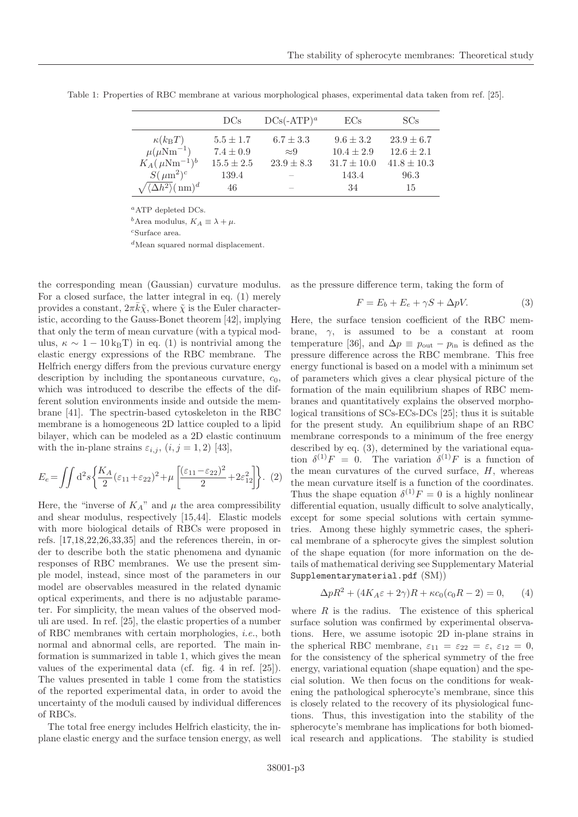|                                                     | DCs            | $DCs(-ATP)^a$            | ECs             | SCs             |
|-----------------------------------------------------|----------------|--------------------------|-----------------|-----------------|
| $\kappa(k_\text{B}T)$                               | $5.5 \pm 1.7$  | $6.7 \pm 3.3$            | $9.6 \pm 3.2$   | $23.9 \pm 6.7$  |
| $\mu(\mu\text{Nm}^{-1})$                            | $7.4 \pm 0.9$  | $\approx 9$              | $10.4 \pm 2.9$  | $12.6 \pm 2.1$  |
| $K_A(\,\mu \text{Nm}^{-1})^b$                       | $15.5 \pm 2.5$ | $23.9 \pm 8.3$           | $31.7 \pm 10.0$ | $41.8 \pm 10.3$ |
| $S(\mu m^2)^c$                                      | 139.4          |                          | 143.4           | 96.3            |
| $\sqrt{\langle\Delta h^2\rangle}$ (nm) <sup>d</sup> | 46             | $\overline{\phantom{a}}$ | 34              | 15              |

<span id="page-3-0"></span>Table 1: Properties of RBC membrane at various morphological phases, experimental data taken from ref. [25].

 ${}^a$ ATP depleted DCs.

<sup>b</sup>Area modulus,  $K_A \equiv \lambda + \mu$ .

<sup>c</sup>Surface area.

 $d$ Mean squared normal displacement.

the corresponding mean (Gaussian) curvature modulus. For a closed surface, the latter integral in eq. [\(1\)](#page-2-1) merely provides a constant,  $2\pi\bar{k}\tilde{\chi}$ , where  $\tilde{\chi}$  is the Euler characteristic, according to the Gauss-Bonet theorem [42], implying that only the term of mean curvature (with a typical modulus,  $\kappa \sim 1 - 10 \text{ kgT}$  in eq. [\(1\)](#page-2-1) is nontrivial among the elastic energy expressions of the RBC membrane. The Helfrich energy differs from the previous curvature energy description by including the spontaneous curvature,  $c_0$ , which was introduced to describe the effects of the different solution environments inside and outside the membrane [41]. The spectrin-based cytoskeleton in the RBC membrane is a homogeneous 2D lattice coupled to a lipid bilayer, which can be modeled as a 2D elastic continuum with the in-plane strains  $\varepsilon_{i,j}$ ,  $(i, j = 1, 2)$  [43],

<span id="page-3-3"></span>
$$
E_e = \iint d^2s \left\{ \frac{K_A}{2} (\varepsilon_{11} + \varepsilon_{22})^2 + \mu \left[ \frac{(\varepsilon_{11} - \varepsilon_{22})^2}{2} + 2\varepsilon_{12}^2 \right] \right\}.
$$
 (2)

Here, the "inverse of  $K_A$ " and  $\mu$  the area compressibility and shear modulus, respectively [15,44]. Elastic models with more biological details of RBCs were proposed in refs. [17,18,22,26,33,35] and the references therein, in order to describe both the static phenomena and dynamic responses of RBC membranes. We use the present simple model, instead, since most of the parameters in our model are observables measured in the related dynamic optical experiments, and there is no adjustable parameter. For simplicity, the mean values of the observed moduli are used. In ref. [25], the elastic properties of a number of RBC membranes with certain morphologies, i.e., both normal and abnormal cells, are reported. The main information is summarized in table [1,](#page-3-0) which gives the mean values of the experimental data (cf. fig. 4 in ref. [25]). The values presented in table [1](#page-3-0) come from the statistics of the reported experimental data, in order to avoid the uncertainty of the moduli caused by individual differences of RBCs.

The total free energy includes Helfrich elasticity, the inplane elastic energy and the surface tension energy, as well <span id="page-3-1"></span>as the pressure difference term, taking the form of

$$
F = E_b + E_e + \gamma S + \Delta p V. \tag{3}
$$

Here, the surface tension coefficient of the RBC membrane,  $\gamma$ , is assumed to be a constant at room temperature [36], and  $\Delta p \equiv p_{\text{out}} - p_{\text{in}}$  is defined as the pressure difference across the RBC membrane. This free energy functional is based on a model with a minimum set of parameters which gives a clear physical picture of the formation of the main equilibrium shapes of RBC membranes and quantitatively explains the observed morphological transitions of SCs-ECs-DCs [25]; thus it is suitable for the present study. An equilibrium shape of an RBC membrane corresponds to a minimum of the free energy described by eq. [\(3\)](#page-3-1), determined by the variational equation  $\delta^{(1)}F = 0$ . The variation  $\delta^{(1)}F$  is a function of the mean curvatures of the curved surface,  $H$ , whereas the mean curvature itself is a function of the coordinates. Thus the shape equation  $\delta^{(1)}F = 0$  is a highly nonlinear differential equation, usually difficult to solve analytically, except for some special solutions with certain symmetries. Among these highly symmetric cases, the spherical membrane of a spherocyte gives the simplest solution of the shape equation (for more information on the details of mathematical deriving see Supplementary Material [Supplementarymaterial.pdf](http://stacks.iop.org/0295-5075/128/38001/mmedia) (SM))

$$
\Delta pR^2 + (4K_A \varepsilon + 2\gamma)R + \kappa c_0 (c_0 R - 2) = 0, \qquad (4)
$$

<span id="page-3-2"></span>where  $R$  is the radius. The existence of this spherical surface solution was confirmed by experimental observations. Here, we assume isotopic 2D in-plane strains in the spherical RBC membrane,  $\varepsilon_{11} = \varepsilon_{22} = \varepsilon$ ,  $\varepsilon_{12} = 0$ , for the consistency of the spherical symmetry of the free energy, variational equation (shape equation) and the special solution. We then focus on the conditions for weakening the pathological spherocyte's membrane, since this is closely related to the recovery of its physiological functions. Thus, this investigation into the stability of the spherocyte's membrane has implications for both biomedical research and applications. The stability is studied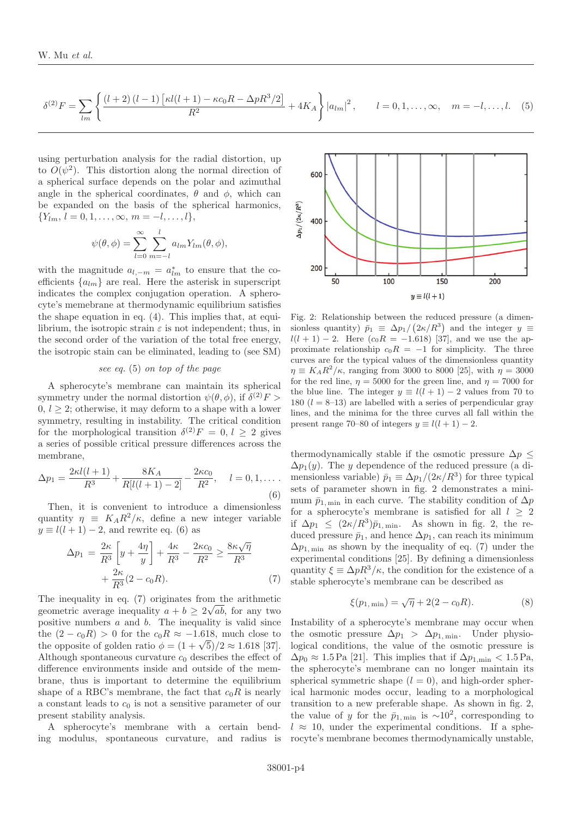<span id="page-4-0"></span>
$$
\delta^{(2)}F = \sum_{lm} \left\{ \frac{(l+2)(l-1)\left[\kappa l(l+1) - \kappa c_0 R - \Delta p R^3/2\right]}{R^2} + 4K_A \right\} |a_{lm}|^2, \qquad l = 0, 1, ..., \infty, \quad m = -l, ..., l. \tag{5}
$$

using perturbation analysis for the radial distortion, up to  $O(\psi^2)$ . This distortion along the normal direction of a spherical surface depends on the polar and azimuthal angle in the spherical coordinates,  $\theta$  and  $\phi$ , which can be expanded on the basis of the spherical harmonics,  ${Y_{lm}, l = 0, 1, \ldots, \infty, m = -l, \ldots, l},$ 

$$
\psi(\theta,\phi) = \sum_{l=0}^{\infty} \sum_{m=-l}^{l} a_{lm} Y_{lm}(\theta,\phi),
$$

with the magnitude  $a_{l,-m} = a_{lm}^*$  to ensure that the coefficients  $\{a_{lm}\}\$ are real. Here the asterisk in superscript indicates the complex conjugation operation. A spherocyte's memebrane at thermodynamic equilibrium satisfies the shape equation in eq. [\(4\)](#page-3-2). This implies that, at equilibrium, the isotropic strain  $\varepsilon$  is not independent; thus, in the second order of the variation of the total free energy, the isotropic stain can be eliminated, leading to (see SM)

#### see eq. [\(5\)](#page-4-0) on top of the page

A spherocyte's membrane can maintain its spherical symmetry under the normal distortion  $\psi(\theta, \phi)$ , if  $\delta^{(2)}F$  $0, l > 2$ ; otherwise, it may deform to a shape with a lower symmetry, resulting in instability. The critical condition for the morphological transition  $\delta^{(2)}F = 0, l \geq 2$  gives a series of possible critical pressure differences across the membrane,

<span id="page-4-1"></span>
$$
\Delta p_1 = \frac{2\kappa l(l+1)}{R^3} + \frac{8K_A}{R[l(l+1)-2]} - \frac{2\kappa c_0}{R^2}, \quad l = 0, 1, \dots
$$
\n(6)

<span id="page-4-2"></span>Then, it is convenient to introduce a dimensionless quantity  $\eta \equiv K_A R^2/\kappa$ , define a new integer variable  $y \equiv l(l+1)-2$ , and rewrite eq. [\(6\)](#page-4-1) as

$$
\Delta p_1 = \frac{2\kappa}{R^3} \left[ y + \frac{4\eta}{y} \right] + \frac{4\kappa}{R^3} - \frac{2\kappa c_0}{R^2} \ge \frac{8\kappa \sqrt{\eta}}{R^3} + \frac{2\kappa}{R^3} (2 - c_0 R). \tag{7}
$$

The inequality in eq.  $(7)$  originates from the arithmetic geometric average inequality  $a + b \geq 2\sqrt{ab}$ , for any two positive numbers  $a$  and  $b$ . The inequality is valid since the  $(2 - c_0 R) > 0$  for the  $c_0 R \approx -1.618$ , much close to the opposite of golden ratio  $\phi = (1 + \sqrt{5})/2 \approx 1.618$  [37]. Although spontaneous curvature  $c_0$  describes the effect of difference environments inside and outside of the membrane, thus is important to determine the equilibrium shape of a RBC's membrane, the fact that  $c_0R$  is nearly a constant leads to  $c_0$  is not a sensitive parameter of our present stability analysis.

A spherocyte's membrane with a certain bending modulus, spontaneous curvature, and radius is



<span id="page-4-3"></span>Fig. 2: Relationship between the reduced pressure (a dimensionless quantity)  $\bar{p}_1 \equiv \Delta p_1/(2\kappa/R^3)$  and the integer  $y \equiv$  $l(l + 1) - 2$ . Here  $(c_0 R = -1.618)$  [37], and we use the approximate relationship  $c_0R = -1$  for simplicity. The three curves are for the typical values of the dimensionless quantity  $\eta \equiv K_A R^2/\kappa$ , ranging from 3000 to 8000 [25], with  $\eta = 3000$ for the red line,  $\eta = 5000$  for the green line, and  $\eta = 7000$  for the blue line. The integer  $y \equiv l(l+1) - 2$  values from 70 to 180 ( $l = 8-13$ ) are labelled with a series of perpendicular gray lines, and the minima for the three curves all fall within the present range 70–80 of integers  $y \equiv l(l+1) - 2$ .

thermodynamically stable if the osmotic pressure  $\Delta p \leq$  $\Delta p_1(y)$ . The y dependence of the reduced pressure (a dimensionless variable)  $\bar{p}_1 \equiv \Delta p_1/(2\kappa/R^3)$  for three typical sets of parameter shown in fig. [2](#page-4-3) demonstrates a minimum  $\bar{p}_{1,\text{min}}$  in each curve. The stability condition of  $\Delta p$ for a spherocyte's membrane is satisfied for all  $l \geq 2$ if  $\Delta p_1 \leq (2\kappa/R^3)\bar{p}_{1,\text{min}}$ . As shown in fig. [2,](#page-4-3) the reduced pressure  $\bar{p}_1$ , and hence  $\Delta p_1$ , can reach its minimum  $\Delta p_{1,\text{min}}$  as shown by the inequality of eq. [\(7\)](#page-4-2) under the experimental conditions [25]. By defining a dimensionless quantity  $\xi \equiv \Delta p R^3/\kappa$ , the condition for the existence of a stable spherocyte's membrane can be described as

$$
\xi(p_{1,\min}) = \sqrt{\eta} + 2(2 - c_0 R). \tag{8}
$$

<span id="page-4-4"></span>Instability of a spherocyte's membrane may occur when the osmotic pressure  $\Delta p_1 > \Delta p_{1,\text{min}}$ . Under physiological conditions, the value of the osmotic pressure is  $\Delta p_0 \approx 1.5 \,\text{Pa}$  [21]. This implies that if  $\Delta p_{1,\text{min}} < 1.5 \,\text{Pa}$ , the spherocyte's membrane can no longer maintain its spherical symmetric shape  $(l = 0)$ , and high-order spherical harmonic modes occur, leading to a morphological transition to a new preferable shape. As shown in fig. [2,](#page-4-3) the value of y for the  $\bar{p}_{1,\text{min}}$  is ~10<sup>2</sup>, corresponding to  $l \approx 10$ , under the experimental conditions. If a spherocyte's membrane becomes thermodynamically unstable,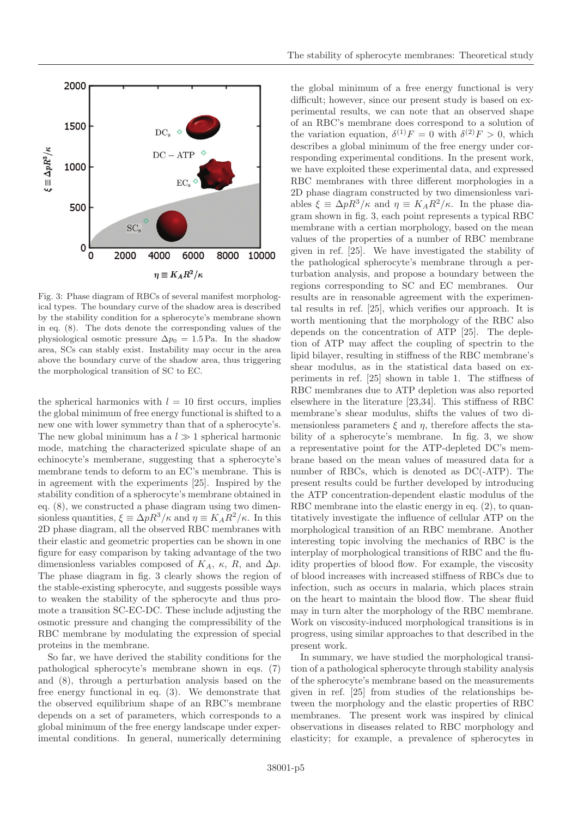

<span id="page-5-0"></span>Fig. 3: Phase diagram of RBCs of several manifest morphological types. The boundary curve of the shadow area is described by the stability condition for a spherocyte's membrane shown in eq. [\(8\)](#page-4-4). The dots denote the corresponding values of the physiological osmotic pressure  $\Delta p_0 = 1.5$  Pa. In the shadow area, SCs can stably exist. Instability may occur in the area above the boundary curve of the shadow area, thus triggering the morphological transition of SC to EC.

the spherical harmonics with  $l = 10$  first occurs, implies the global minimum of free energy functional is shifted to a new one with lower symmetry than that of a spherocyte's. The new global minimum has a  $l \gg 1$  spherical harmonic mode, matching the characterized spiculate shape of an echinocyte's memberane, suggesting that a spherocyte's membrane tends to deform to an EC's membrane. This is in agreement with the experiments [25]. Inspired by the stability condition of a spherocyte's membrane obtained in eq. [\(8\)](#page-4-4), we constructed a phase diagram using two dimensionless quantities,  $\xi \equiv \Delta p R^3 / \kappa$  and  $\eta \equiv K_A R^2 / \kappa$ . In this 2D phase diagram, all the observed RBC membranes with their elastic and geometric properties can be shown in one figure for easy comparison by taking advantage of the two dimensionless variables composed of  $K_A$ ,  $\kappa$ ,  $R$ , and  $\Delta p$ . The phase diagram in fig. [3](#page-5-0) clearly shows the region of the stable-existing spherocyte, and suggests possible ways to weaken the stability of the spherocyte and thus promote a transition SC-EC-DC. These include adjusting the osmotic pressure and changing the compressibility of the RBC membrane by modulating the expression of special proteins in the membrane.

So far, we have derived the stability conditions for the pathological spherocyte's membrane shown in eqs. [\(7\)](#page-4-2) and [\(8\)](#page-4-4), through a perturbation analysis based on the free energy functional in eq. [\(3\)](#page-3-1). We demonstrate that the observed equilibrium shape of an RBC's membrane depends on a set of parameters, which corresponds to a global minimum of the free energy landscape under experimental conditions. In general, numerically determining the global minimum of a free energy functional is very difficult; however, since our present study is based on experimental results, we can note that an observed shape of an RBC's membrane does correspond to a solution of the variation equation,  $\delta^{(1)}F = 0$  with  $\delta^{(2)}F > 0$ , which describes a global minimum of the free energy under corresponding experimental conditions. In the present work, we have exploited these experimental data, and expressed RBC membranes with three different morphologies in a 2D phase diagram constructed by two dimensionless variables  $\xi \equiv \Delta p R^3/\kappa$  and  $\eta \equiv K_A R^2/\kappa$ . In the phase diagram shown in fig. [3,](#page-5-0) each point represents a typical RBC membrane with a certian morphology, based on the mean values of the properties of a number of RBC membrane given in ref. [25]. We have investigated the stability of the pathological spherocyte's membrane through a perturbation analysis, and propose a boundary between the regions corresponding to SC and EC membranes. Our results are in reasonable agreement with the experimental results in ref. [25], which verifies our approach. It is worth mentioning that the morphology of the RBC also depends on the concentration of ATP [25]. The depletion of ATP may affect the coupling of spectrin to the lipid bilayer, resulting in stiffness of the RBC membrane's shear modulus, as in the statistical data based on experiments in ref. [25] shown in table [1.](#page-3-0) The stiffness of RBC membranes due to ATP depletion was also reported elsewhere in the literature [23,34]. This stiffness of RBC membrane's shear modulus, shifts the values of two dimensionless parameters  $\xi$  and  $\eta$ , therefore affects the stability of a spherocyte's membrane. In fig. [3,](#page-5-0) we show a representative point for the ATP-depleted DC's membrane based on the mean values of measured data for a number of RBCs, which is denoted as DC(-ATP). The present results could be further developed by introducing the ATP concentration-dependent elastic modulus of the RBC membrane into the elastic energy in eq.  $(2)$ , to quantitatively investigate the influence of cellular ATP on the morphological transition of an RBC membrane. Another interesting topic involving the mechanics of RBC is the interplay of morphological transitions of RBC and the fluidity properties of blood flow. For example, the viscosity of blood increases with increased stiffness of RBCs due to infection, such as occurs in malaria, which places strain on the heart to maintain the blood flow. The shear fluid may in turn alter the morphology of the RBC membrane. Work on viscosity-induced morphological transitions is in progress, using similar approaches to that described in the present work.

In summary, we have studied the morphological transition of a pathological spherocyte through stability analysis of the spherocyte's membrane based on the measurements given in ref. [25] from studies of the relationships between the morphology and the elastic properties of RBC membranes. The present work was inspired by clinical observations in diseases related to RBC morphology and elasticity; for example, a prevalence of spherocytes in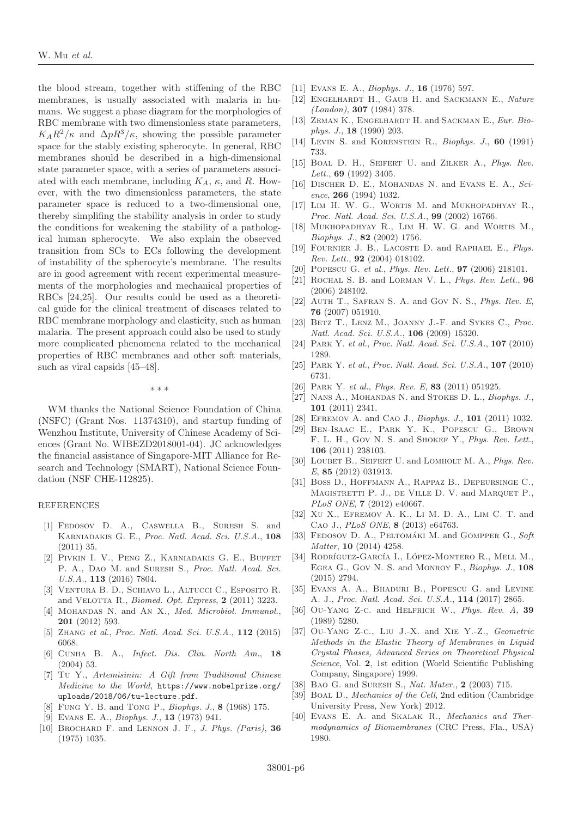the blood stream, together with stiffening of the RBC membranes, is usually associated with malaria in humans. We suggest a phase diagram for the morphologies of RBC membrane with two dimensionless state parameters,  $K_A R^2/\kappa$  and  $\Delta p R^3/\kappa$ , showing the possible parameter space for the stably existing spherocyte. In general, RBC membranes should be described in a high-dimensional state parameter space, with a series of parameters associated with each membrane, including  $K_A$ ,  $\kappa$ , and R. However, with the two dimensionless parameters, the state parameter space is reduced to a two-dimensional one, thereby simplifing the stability analysis in order to study the conditions for weakening the stability of a pathological human spherocyte. We also explain the observed transition from SCs to ECs following the development of instability of the spherocyte's membrane. The results are in good agreement with recent experimental measurements of the morphologies and mechanical properties of RBCs [24,25]. Our results could be used as a theoretical guide for the clinical treatment of diseases related to RBC membrane morphology and elasticity, such as human malaria. The present approach could also be used to study more complicated phenomena related to the mechanical properties of RBC membranes and other soft materials, such as viral capsids [45–48].

∗∗∗

WM thanks the National Science Foundation of China (NSFC) (Grant Nos. 11374310), and startup funding of Wenzhou Institute, University of Chinese Academy of Sciences (Grant No. WIBEZD2018001-04). JC acknowledges the financial assistance of Singapore-MIT Alliance for Research and Technology (SMART), National Science Foundation (NSF CHE-112825).

#### REFERENCES

- [1] Fedosov D. A., Caswella B., Suresh S. and Karniadakis G. E., Proc. Natl. Acad. Sci. U.S.A., **108** (2011) 35.
- [2] Pivkin I. V., Peng Z., Karniadakis G. E., Buffet P. A., DAO M. and SURESH S., Proc. Natl. Acad. Sci. U.S.A., **113** (2016) 7804.
- [3] Ventura B. D., Schiavo L., Altucci C., Esposito R. and VELOTTA R., *Biomed. Opt. Express*, **2** (2011) 3223.
- [4] MOHANDAS N. and AN X., Med. Microbiol. Immunol., **201** (2012) 593.
- [5] Zhang et al., Proc. Natl. Acad. Sci. U.S.A., **112** (2015) 6068.
- [6] Cunha B. A., Infect. Dis. Clin. North Am., **18** (2004) 53.
- [7] Tu Y., Artemisinin: A Gift from Traditional Chinese Medicine to the World, [https://www.nobelprize.org/](https://www.nobelprize.org/uploads/2018/06/tu-lecture.pdf) [uploads/2018/06/tu-lecture.pdf](https://www.nobelprize.org/uploads/2018/06/tu-lecture.pdf).
- [8] Fung Y. B. and Tong P., Biophys. J., **8** (1968) 175.
- [9] Evans E. A., Biophys. J., **13** (1973) 941.
- [10] Brochard F. and Lennon J. F., J. Phys. (Paris), **36** (1975) 1035.
- [11] Evans E. A., Biophys. J., **16** (1976) 597.
- [12] ENGELHARDT H., GAUB H. and SACKMANN E., Nature (London), **307** (1984) 378.
- [13] ZEMAN K., ENGELHARDT H. and SACKMAN E., Eur. Biophys. J., **18** (1990) 203.
- [14] Levin S. and Korenstein R., Biophys. J., **60** (1991) 733.
- [15] BOAL D. H., SEIFERT U. and ZILKER A., Phys. Rev. Lett., **69** (1992) 3405.
- [16] DISCHER D. E., MOHANDAS N. and EVANS E. A., Science, **266** (1994) 1032.
- [17] LIM H. W. G., WORTIS M. and MUKHOPADHYAY R., Proc. Natl. Acad. Sci. U.S.A., **99** (2002) 16766.
- [18] MUKHOPADHYAY R., LIM H. W. G. and WORTIS M., Biophys. J., **82** (2002) 1756.
- [19] FOURNIER J. B., LACOSTE D. and RAPHAEL E., Phys. Rev. Lett., **92** (2004) 018102.
- [20] Popescu G. et al., Phys. Rev. Lett., **97** (2006) 218101.
- [21] Rochal S. B. and Lorman V. L., Phys. Rev. Lett., **96** (2006) 248102.
- [22] AUTH T., SAFRAN S. A. and GOV N. S., Phys. Rev. E, **76** (2007) 051910.
- [23] BETZ T., LENZ M., JOANNY J.-F. and SYKES C., Proc. Natl. Acad. Sci. U.S.A., **106** (2009) 15320.
- [24] Park Y. et al., Proc. Natl. Acad. Sci. U.S.A., **107** (2010) 1289.
- [25] Park Y. et al., Proc. Natl. Acad. Sci. U.S.A., **107** (2010) 6731.
- [26] Park Y. et al., Phys. Rev. E, **83** (2011) 051925.
- [27] NANS A., MOHANDAS N. and STOKES D. L., Biophys. J., **101** (2011) 2341.
- [28] Efremov A. and Cao J., Biophys. J., **101** (2011) 1032.
- [29] Ben-Isaac E., Park Y. K., Popescu G., Brown F. L. H., Gov N. S. and SHOKEF Y., Phys. Rev. Lett., **106** (2011) 238103.
- [30] LOUBET B., SEIFERT U. and LOMHOLT M. A., Phys. Rev. E, **85** (2012) 031913.
- [31] Boss D., Hoffmann A., Rappaz B., Depeursinge C., MAGISTRETTI P. J., DE VILLE D. V. and MARQUET P., PLoS ONE, **7** (2012) e40667.
- [32] Xu X., Efremov A. K., Li M. D. A., Lim C. T. and Cao J., PLoS ONE, **8** (2013) e64763.
- [33] FEDOSOV D. A., PELTOMÁKI M. and GOMPPER G., Soft Matter, **10** (2014) 4258.
- [34] RODRÍGUEZ-GARCÍA I., LÓPEZ-MONTERO R., MELL M., Egea G., Gov N. S. and Monroy F., Biophys. J., **108** (2015) 2794.
- [35] Evans A. A., Bhaduri B., Popescu G. and Levine A. J., Proc. Natl. Acad. Sci. U.S.A., **114** (2017) 2865.
- [36] Ou-Yang Z-c. and Helfrich W., Phys. Rev. A, **39** (1989) 5280.
- [37] Ou-Yang Z-c., Liu J.-X. and Xie Y.-Z., Geometric Methods in the Elastic Theory of Membranes in Liquid Crystal Phases, Advanced Series on Theoretical Physical Science, Vol. **2**, 1st edition (World Scientific Publishing Company, Singapore) 1999.
- [38] Bao G. and Suresh S., Nat. Mater., **2** (2003) 715.
- [39] BOAL D., Mechanics of the Cell, 2nd edition (Cambridge University Press, New York) 2012.
- [40] Evans E. A. and Skalak R., Mechanics and Thermodynamics of Biomembranes (CRC Press, Fla., USA) 1980.